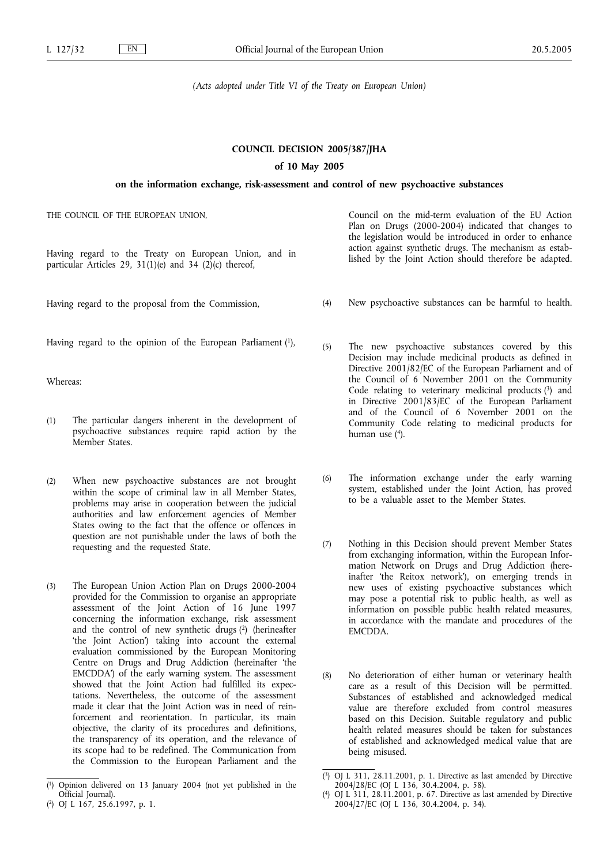*(Acts adopted under Title VI of the Treaty on European Union)*

## **COUNCIL DECISION 2005/387/JHA**

# **of 10 May 2005**

# **on the information exchange, risk-assessment and control of new psychoactive substances**

THE COUNCIL OF THE EUROPEAN UNION,

Having regard to the Treaty on European Union, and in particular Articles 29, 31(1)(e) and 34 (2)(c) thereof,

Having regard to the proposal from the Commission,

Having regard to the opinion of the European Parliament (1),

Whereas:

- (1) The particular dangers inherent in the development of psychoactive substances require rapid action by the Member States.
- (2) When new psychoactive substances are not brought within the scope of criminal law in all Member States, problems may arise in cooperation between the judicial authorities and law enforcement agencies of Member States owing to the fact that the offence or offences in question are not punishable under the laws of both the requesting and the requested State.
- (3) The European Union Action Plan on Drugs 2000-2004 provided for the Commission to organise an appropriate assessment of the Joint Action of 16 June 1997 concerning the information exchange, risk assessment and the control of new synthetic drugs (2) (herineafter 'the Joint Action') taking into account the external evaluation commissioned by the European Monitoring Centre on Drugs and Drug Addiction (hereinafter 'the EMCDDA') of the early warning system. The assessment showed that the Joint Action had fulfilled its expectations. Nevertheless, the outcome of the assessment made it clear that the Joint Action was in need of reinforcement and reorientation. In particular, its main objective, the clarity of its procedures and definitions, the transparency of its operation, and the relevance of its scope had to be redefined. The Communication from the Commission to the European Parliament and the

Council on the mid-term evaluation of the EU Action Plan on Drugs (2000-2004) indicated that changes to the legislation would be introduced in order to enhance action against synthetic drugs. The mechanism as established by the Joint Action should therefore be adapted.

- (4) New psychoactive substances can be harmful to health.
- (5) The new psychoactive substances covered by this Decision may include medicinal products as defined in Directive 2001/82/EC of the European Parliament and of the Council of 6 November 2001 on the Community Code relating to veterinary medicinal products  $(3)$  and in Directive 2001/83/EC of the European Parliament and of the Council of 6 November 2001 on the Community Code relating to medicinal products for human use  $(4)$ .
- (6) The information exchange under the early warning system, established under the Joint Action, has proved to be a valuable asset to the Member States.
- (7) Nothing in this Decision should prevent Member States from exchanging information, within the European Information Network on Drugs and Drug Addiction (hereinafter 'the Reitox network'), on emerging trends in new uses of existing psychoactive substances which may pose a potential risk to public health, as well as information on possible public health related measures, in accordance with the mandate and procedures of the EMCDDA.
- (8) No deterioration of either human or veterinary health care as a result of this Decision will be permitted. Substances of established and acknowledged medical value are therefore excluded from control measures based on this Decision. Suitable regulatory and public health related measures should be taken for substances of established and acknowledged medical value that are being misused.

<sup>(</sup> 1) Opinion delivered on 13 January 2004 (not yet published in the Official Journal).

<sup>(</sup> 2) OJ L 167, 25.6.1997, p. 1.

<sup>(</sup> 3) OJ L 311, 28.11.2001, p. 1. Directive as last amended by Directive 2004/28/EC (OJ L 136, 30.4.2004, p. 58).

<sup>(</sup> 4) OJ L 311, 28.11.2001, p. 67. Directive as last amended by Directive 2004/27/EC (OJ L 136, 30.4.2004, p. 34).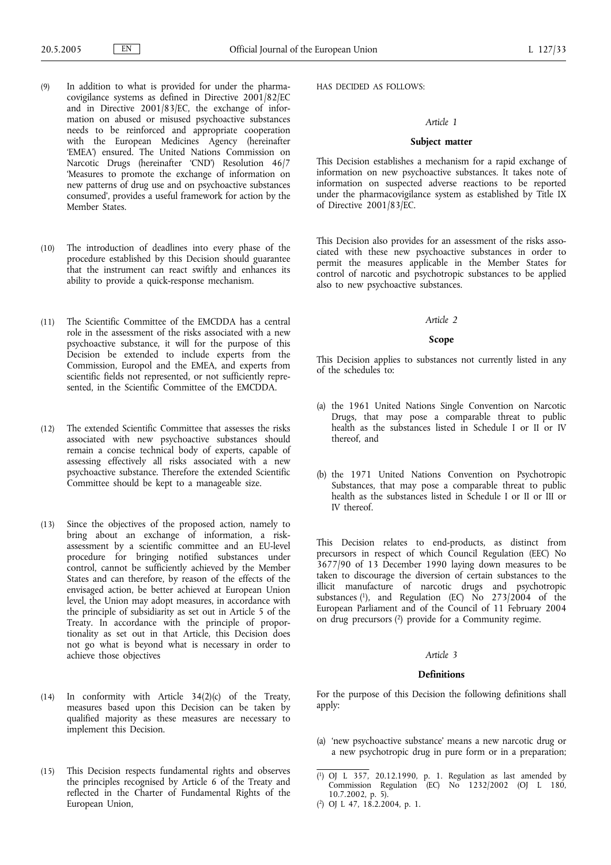- (9) In addition to what is provided for under the pharmacovigilance systems as defined in Directive 2001/82/EC and in Directive 2001/83/EC, the exchange of information on abused or misused psychoactive substances needs to be reinforced and appropriate cooperation with the European Medicines Agency (hereinafter 'EMEA') ensured. The United Nations Commission on Narcotic Drugs (hereinafter 'CND') Resolution 46/7 'Measures to promote the exchange of information on new patterns of drug use and on psychoactive substances consumed', provides a useful framework for action by the Member States.
- (10) The introduction of deadlines into every phase of the procedure established by this Decision should guarantee that the instrument can react swiftly and enhances its ability to provide a quick-response mechanism.
- (11) The Scientific Committee of the EMCDDA has a central role in the assessment of the risks associated with a new psychoactive substance, it will for the purpose of this Decision be extended to include experts from the Commission, Europol and the EMEA, and experts from scientific fields not represented, or not sufficiently represented, in the Scientific Committee of the EMCDDA.
- (12) The extended Scientific Committee that assesses the risks associated with new psychoactive substances should remain a concise technical body of experts, capable of assessing effectively all risks associated with a new psychoactive substance. Therefore the extended Scientific Committee should be kept to a manageable size.
- (13) Since the objectives of the proposed action, namely to bring about an exchange of information, a riskassessment by a scientific committee and an EU-level procedure for bringing notified substances under control, cannot be sufficiently achieved by the Member States and can therefore, by reason of the effects of the envisaged action, be better achieved at European Union level, the Union may adopt measures, in accordance with the principle of subsidiarity as set out in Article 5 of the Treaty. In accordance with the principle of proportionality as set out in that Article, this Decision does not go what is beyond what is necessary in order to achieve those objectives
- (14) In conformity with Article 34(2)(c) of the Treaty, measures based upon this Decision can be taken by qualified majority as these measures are necessary to implement this Decision.
- (15) This Decision respects fundamental rights and observes the principles recognised by Article 6 of the Treaty and reflected in the Charter of Fundamental Rights of the European Union,

HAS DECIDED AS FOLLOWS:

# *Article 1*

# **Subject matter**

This Decision establishes a mechanism for a rapid exchange of information on new psychoactive substances. It takes note of information on suspected adverse reactions to be reported under the pharmacovigilance system as established by Title IX of Directive 2001/83/EC.

This Decision also provides for an assessment of the risks associated with these new psychoactive substances in order to permit the measures applicable in the Member States for control of narcotic and psychotropic substances to be applied also to new psychoactive substances.

# *Article 2*

#### **Scope**

This Decision applies to substances not currently listed in any of the schedules to:

- (a) the 1961 United Nations Single Convention on Narcotic Drugs, that may pose a comparable threat to public health as the substances listed in Schedule I or II or IV thereof, and
- (b) the 1971 United Nations Convention on Psychotropic Substances, that may pose a comparable threat to public health as the substances listed in Schedule I or II or III or IV thereof.

This Decision relates to end-products, as distinct from precursors in respect of which Council Regulation (EEC) No 3677/90 of 13 December 1990 laying down measures to be taken to discourage the diversion of certain substances to the illicit manufacture of narcotic drugs and psychotropic substances (1), and Regulation (EC) No 273/2004 of the European Parliament and of the Council of 11 February 2004 on drug precursors (2) provide for a Community regime.

# *Article 3*

# **Definitions**

For the purpose of this Decision the following definitions shall apply:

(a) 'new psychoactive substance' means a new narcotic drug or a new psychotropic drug in pure form or in a preparation;

<sup>(</sup> 1) OJ L 357, 20.12.1990, p. 1. Regulation as last amended by Commission Regulation (EC)  $N_0^{\circ}$  1232/2002 (OJ L 180, 10.7.2002, p. 5). ( 2) OJ L 47, 18.2.2004, p. 1.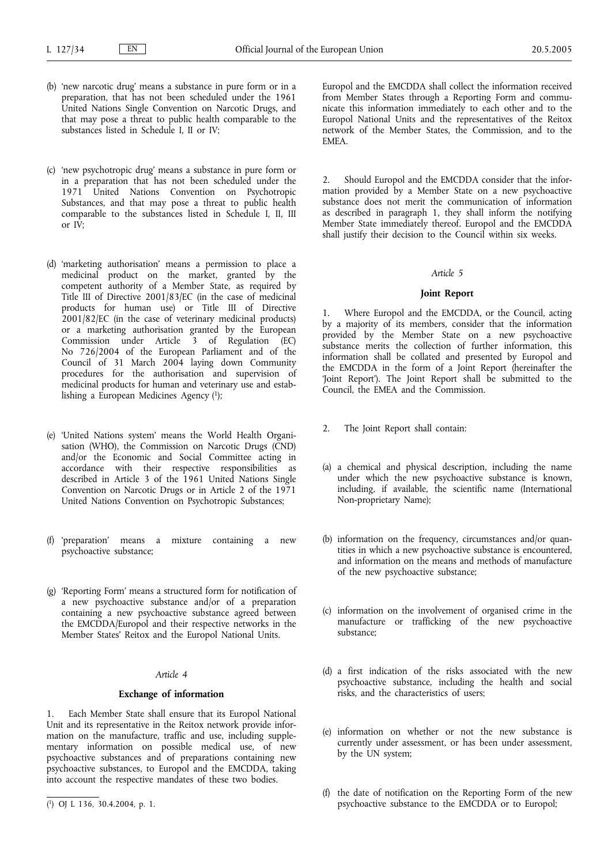- (b) 'new narcotic drug' means a substance in pure form or in a preparation, that has not been scheduled under the 1961 United Nations Single Convention on Narcotic Drugs, and that may pose a threat to public health comparable to the substances listed in Schedule I, II or IV;
- (c) 'new psychotropic drug' means a substance in pure form or in a preparation that has not been scheduled under the 1971 United Nations Convention on Psychotropic Substances, and that may pose a threat to public health comparable to the substances listed in Schedule I, II, III or IV;
- (d) 'marketing authorisation' means a permission to place a medicinal product on the market, granted by the competent authority of a Member State, as required by Title III of Directive 2001/83/EC (in the case of medicinal products for human use) or Title III of Directive 2001/82/EC (in the case of veterinary medicinal products) or a marketing authorisation granted by the European Commission under Article 3 of Regulation (EC) No 726/2004 of the European Parliament and of the Council of 31 March 2004 laying down Community procedures for the authorisation and supervision of medicinal products for human and veterinary use and establishing a European Medicines Agency (1);
- (e) 'United Nations system' means the World Health Organisation (WHO), the Commission on Narcotic Drugs (CND) and/or the Economic and Social Committee acting in accordance with their respective responsibilities as described in Article 3 of the 1961 United Nations Single Convention on Narcotic Drugs or in Article 2 of the 1971 United Nations Convention on Psychotropic Substances;
- (f) 'preparation' means a mixture containing a new psychoactive substance;
- (g) 'Reporting Form' means a structured form for notification of a new psychoactive substance and/or of a preparation containing a new psychoactive substance agreed between the EMCDDA/Europol and their respective networks in the Member States' Reitox and the Europol National Units.

# *Article 4*

## **Exchange of information**

Each Member State shall ensure that its Europol National Unit and its representative in the Reitox network provide information on the manufacture, traffic and use, including supplementary information on possible medical use, of new psychoactive substances and of preparations containing new psychoactive substances, to Europol and the EMCDDA, taking into account the respective mandates of these two bodies.

Europol and the EMCDDA shall collect the information received from Member States through a Reporting Form and communicate this information immediately to each other and to the Europol National Units and the representatives of the Reitox network of the Member States, the Commission, and to the EMEA.

2. Should Europol and the EMCDDA consider that the information provided by a Member State on a new psychoactive substance does not merit the communication of information as described in paragraph 1, they shall inform the notifying Member State immediately thereof. Europol and the EMCDDA shall justify their decision to the Council within six weeks.

#### *Article 5*

#### **Joint Report**

1. Where Europol and the EMCDDA, or the Council, acting by a majority of its members, consider that the information provided by the Member State on a new psychoactive substance merits the collection of further information, this information shall be collated and presented by Europol and the EMCDDA in the form of a Joint Report (hereinafter the 'Joint Report'). The Joint Report shall be submitted to the Council, the EMEA and the Commission.

- 2. The Joint Report shall contain:
- (a) a chemical and physical description, including the name under which the new psychoactive substance is known, including, if available, the scientific name (International Non-proprietary Name);
- (b) information on the frequency, circumstances and/or quantities in which a new psychoactive substance is encountered, and information on the means and methods of manufacture of the new psychoactive substance;
- (c) information on the involvement of organised crime in the manufacture or trafficking of the new psychoactive substance;
- (d) a first indication of the risks associated with the new psychoactive substance, including the health and social risks, and the characteristics of users;
- (e) information on whether or not the new substance is currently under assessment, or has been under assessment, by the UN system;
- (f) the date of notification on the Reporting Form of the new psychoactive substance to the EMCDDA or to Europol;

<sup>(</sup> 1) OJ L 136, 30.4.2004, p. 1.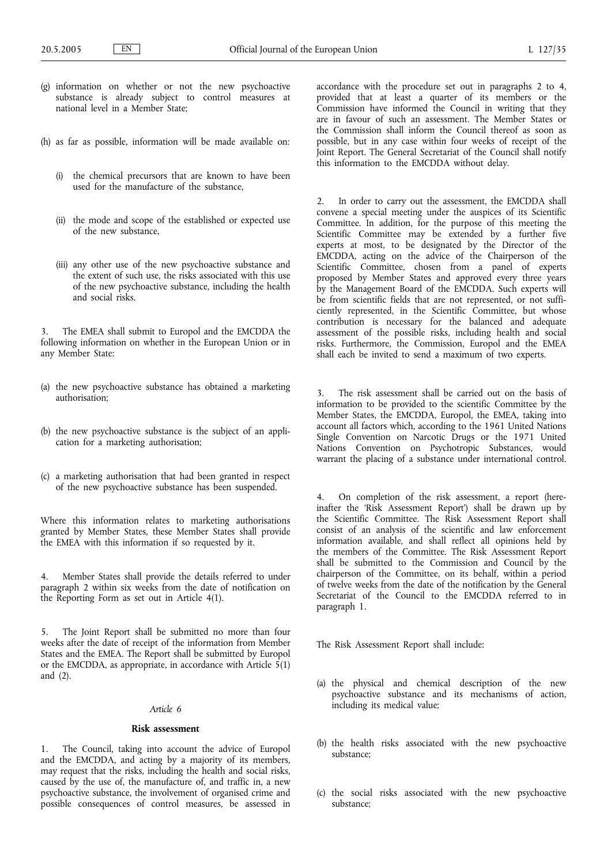- (g) information on whether or not the new psychoactive substance is already subject to control measures at national level in a Member State;
- (h) as far as possible, information will be made available on:
	- (i) the chemical precursors that are known to have been used for the manufacture of the substance,
	- (ii) the mode and scope of the established or expected use of the new substance,
	- (iii) any other use of the new psychoactive substance and the extent of such use, the risks associated with this use of the new psychoactive substance, including the health and social risks.

The EMEA shall submit to Europol and the EMCDDA the following information on whether in the European Union or in any Member State:

- (a) the new psychoactive substance has obtained a marketing authorisation;
- (b) the new psychoactive substance is the subject of an application for a marketing authorisation;
- (c) a marketing authorisation that had been granted in respect of the new psychoactive substance has been suspended.

Where this information relates to marketing authorisations granted by Member States, these Member States shall provide the EMEA with this information if so requested by it.

4. Member States shall provide the details referred to under paragraph 2 within six weeks from the date of notification on the Reporting Form as set out in Article 4(1).

5. The Joint Report shall be submitted no more than four weeks after the date of receipt of the information from Member States and the EMEA. The Report shall be submitted by Europol or the EMCDDA, as appropriate, in accordance with Article  $\frac{1}{2}(1)$ and (2).

# *Article 6*

#### **Risk assessment**

1. The Council, taking into account the advice of Europol and the EMCDDA, and acting by a majority of its members, may request that the risks, including the health and social risks, caused by the use of, the manufacture of, and traffic in, a new psychoactive substance, the involvement of organised crime and possible consequences of control measures, be assessed in accordance with the procedure set out in paragraphs 2 to 4, provided that at least a quarter of its members or the Commission have informed the Council in writing that they are in favour of such an assessment. The Member States or the Commission shall inform the Council thereof as soon as possible, but in any case within four weeks of receipt of the Joint Report. The General Secretariat of the Council shall notify this information to the EMCDDA without delay.

2. In order to carry out the assessment, the EMCDDA shall convene a special meeting under the auspices of its Scientific Committee. In addition, for the purpose of this meeting the Scientific Committee may be extended by a further five experts at most, to be designated by the Director of the EMCDDA, acting on the advice of the Chairperson of the Scientific Committee, chosen from a panel of experts proposed by Member States and approved every three years by the Management Board of the EMCDDA. Such experts will be from scientific fields that are not represented, or not sufficiently represented, in the Scientific Committee, but whose contribution is necessary for the balanced and adequate assessment of the possible risks, including health and social risks. Furthermore, the Commission, Europol and the EMEA shall each be invited to send a maximum of two experts.

3. The risk assessment shall be carried out on the basis of information to be provided to the scientific Committee by the Member States, the EMCDDA, Europol, the EMEA, taking into account all factors which, according to the 1961 United Nations Single Convention on Narcotic Drugs or the 1971 United Nations Convention on Psychotropic Substances, would warrant the placing of a substance under international control.

4. On completion of the risk assessment, a report (hereinafter the 'Risk Assessment Report') shall be drawn up by the Scientific Committee. The Risk Assessment Report shall consist of an analysis of the scientific and law enforcement information available, and shall reflect all opinions held by the members of the Committee. The Risk Assessment Report shall be submitted to the Commission and Council by the chairperson of the Committee, on its behalf, within a period of twelve weeks from the date of the notification by the General Secretariat of the Council to the EMCDDA referred to in paragraph 1.

The Risk Assessment Report shall include:

- (a) the physical and chemical description of the new psychoactive substance and its mechanisms of action, including its medical value;
- (b) the health risks associated with the new psychoactive substance;
- (c) the social risks associated with the new psychoactive substance;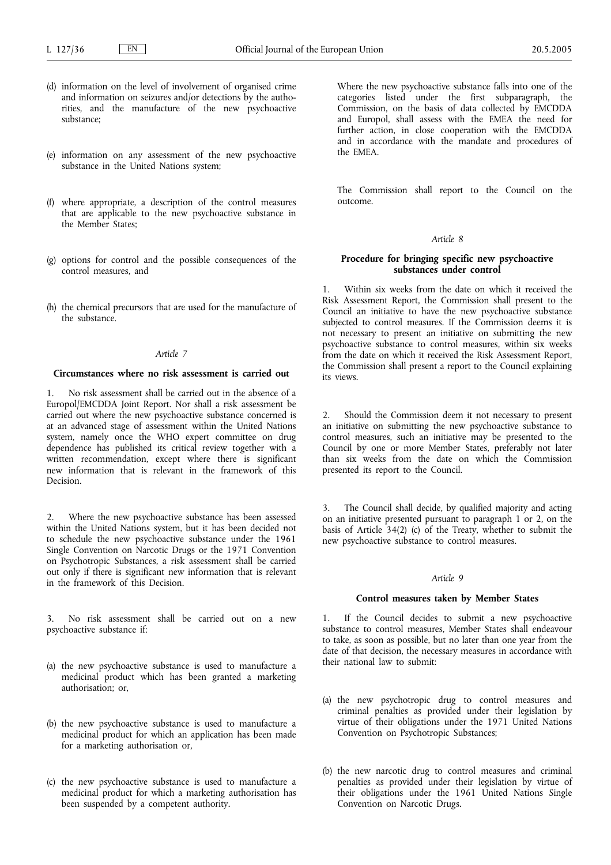- (d) information on the level of involvement of organised crime and information on seizures and/or detections by the authorities, and the manufacture of the new psychoactive substance;
- (e) information on any assessment of the new psychoactive substance in the United Nations system;
- (f) where appropriate, a description of the control measures that are applicable to the new psychoactive substance in the Member States;
- (g) options for control and the possible consequences of the control measures, and
- (h) the chemical precursors that are used for the manufacture of the substance.

# *Article 7*

# **Circumstances where no risk assessment is carried out**

1. No risk assessment shall be carried out in the absence of a Europol/EMCDDA Joint Report. Nor shall a risk assessment be carried out where the new psychoactive substance concerned is at an advanced stage of assessment within the United Nations system, namely once the WHO expert committee on drug dependence has published its critical review together with a written recommendation, except where there is significant new information that is relevant in the framework of this Decision.

2. Where the new psychoactive substance has been assessed within the United Nations system, but it has been decided not to schedule the new psychoactive substance under the 1961 Single Convention on Narcotic Drugs or the 1971 Convention on Psychotropic Substances, a risk assessment shall be carried out only if there is significant new information that is relevant in the framework of this Decision.

3. No risk assessment shall be carried out on a new psychoactive substance if:

- (a) the new psychoactive substance is used to manufacture a medicinal product which has been granted a marketing authorisation; or,
- (b) the new psychoactive substance is used to manufacture a medicinal product for which an application has been made for a marketing authorisation or,
- (c) the new psychoactive substance is used to manufacture a medicinal product for which a marketing authorisation has been suspended by a competent authority.

Where the new psychoactive substance falls into one of the categories listed under the first subparagraph, the Commission, on the basis of data collected by EMCDDA and Europol, shall assess with the EMEA the need for further action, in close cooperation with the EMCDDA and in accordance with the mandate and procedures of the EMEA.

The Commission shall report to the Council on the outcome.

# *Article 8*

# **Procedure for bringing specific new psychoactive substances under control**

1. Within six weeks from the date on which it received the Risk Assessment Report, the Commission shall present to the Council an initiative to have the new psychoactive substance subjected to control measures. If the Commission deems it is not necessary to present an initiative on submitting the new psychoactive substance to control measures, within six weeks from the date on which it received the Risk Assessment Report, the Commission shall present a report to the Council explaining its views.

2. Should the Commission deem it not necessary to present an initiative on submitting the new psychoactive substance to control measures, such an initiative may be presented to the Council by one or more Member States, preferably not later than six weeks from the date on which the Commission presented its report to the Council.

3. The Council shall decide, by qualified majority and acting on an initiative presented pursuant to paragraph 1 or 2, on the basis of Article 34(2) (c) of the Treaty, whether to submit the new psychoactive substance to control measures.

# *Article 9*

# **Control measures taken by Member States**

1. If the Council decides to submit a new psychoactive substance to control measures, Member States shall endeavour to take, as soon as possible, but no later than one year from the date of that decision, the necessary measures in accordance with their national law to submit:

- (a) the new psychotropic drug to control measures and criminal penalties as provided under their legislation by virtue of their obligations under the 1971 United Nations Convention on Psychotropic Substances;
- (b) the new narcotic drug to control measures and criminal penalties as provided under their legislation by virtue of their obligations under the 1961 United Nations Single Convention on Narcotic Drugs.